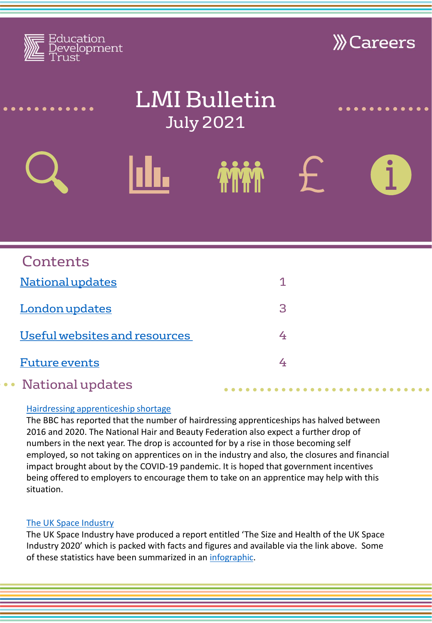<span id="page-0-0"></span>

# [Hairdressing apprenticeship shortage](https://www.bbc.co.uk/news/uk-57621856)

The BBC has reported that the number of hairdressing apprenticeships has halved between 2016 and 2020. The National Hair and Beauty Federation also expect a further drop of numbers in the next year. The drop is accounted for by a rise in those becoming self employed, so not taking on apprentices on in the industry and also, the closures and financial impact brought about by the COVID-19 pandemic. It is hoped that government incentives being offered to employers to encourage them to take on an apprentice may help with this situation.

# [The UK Space Industry](https://assets.publishing.service.gov.uk/government/uploads/system/uploads/attachment_data/file/987497/know.space-Size_Health2020-SummaryReport-FINAL_May21.pdf)

The UK Space Industry have produced a report entitled 'The Size and Health of the UK Space Industry 2020' which is packed with facts and figures and available via the link above. Some of these statistics have been summarized in an [infographic.](https://assets.publishing.service.gov.uk/government/uploads/system/uploads/attachment_data/file/987498/know.space-Size_Health2020-Infographic-FINAL_May21.pdf)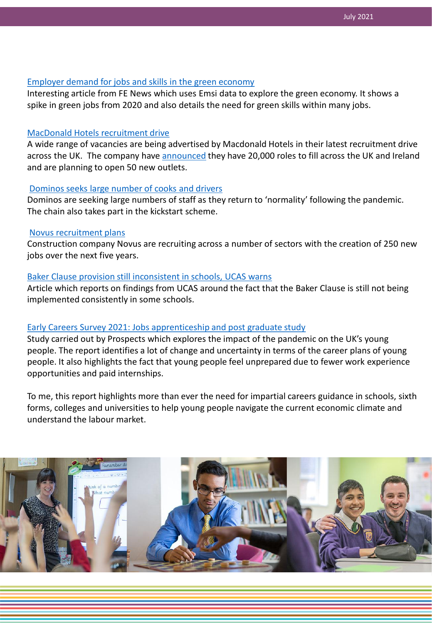## [Employer demand for jobs and skills in the green economy](https://www.fenews.co.uk/fevoices/69701-a-brief-look-at-employer-demand-for-jobs-and-skills-in-the-green-economy)

Interesting article from FE News which uses Emsi data to explore the green economy. It shows a spike in green jobs from 2020 and also details the need for green skills within many jobs.

### [MacDonald Hotels recruitment drive](https://www.somersetlive.co.uk/special-features/exciting-opportunities-macdonald-hotels-resorts-5503942)

A wide range of vacancies are being advertised by Macdonald Hotels in their latest recruitment drive across the UK. The company have [announced](https://www.bbc.co.uk/news/business-57544235) they have 20,000 roles to fill across the UK and Ireland and are planning to open 50 new outlets.

### [Dominos seeks large number of cooks and drivers](https://www.bbc.co.uk/news/business-57310154)

Dominos are seeking large numbers of staff as they return to 'normality' following the pandemic. The chain also takes part in the kickstart scheme.

#### [Novus recruitment plans](https://www.business-live.co.uk/enterprise/250-new-jobs-novus-reveals-20810438)

Construction company Novus are recruiting across a number of sectors with the creation of 250 new jobs over the next five years.

# [Baker Clause provision still inconsistent in schools, UCAS warns](https://www.sec-ed.co.uk/news/baker-clause-provision-still-inconsistent-in-schools-ucas-warns-apprenticeships-vocational-education-fe-university-he/)

Article which reports on findings from UCAS around the fact that the Baker Clause is still not being implemented consistently in some schools.

# [Early Careers Survey 2021: Jobs apprenticeship and post graduate study](https://luminate.prospects.ac.uk/early-careers-survey-2021-jobs-apprenticeships-and-postgraduate-study?utm_medium=email&utm_content=Early%20Careers%20Survey%202021:%20Jobs,%20apprenticeships%20and%20postgraduate%20study&utm_campaign=3495&utm_source=Luminate-Newsletter)

Study carried out by Prospects which explores the impact of the pandemic on the UK's young people. The report identifies a lot of change and uncertainty in terms of the career plans of young people. It also highlights the fact that young people feel unprepared due to fewer work experience opportunities and paid internships.

To me, this report highlights more than ever the need for impartial careers guidance in schools, sixth forms, colleges and universities to help young people navigate the current economic climate and understand the labour market.

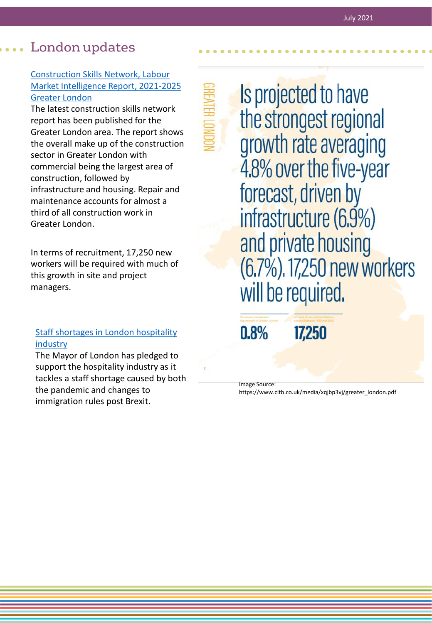# <span id="page-2-0"></span>London updates

# Construction Skills Network, Labour [Market Intelligence Report, 2021-2025](https://www.citb.co.uk/media/xqjbp3vj/greater_london.pdf) Greater London

The latest construction skills network report has been published for the Greater London area. The report shows the overall make up of the construction sector in Greater London with commercial being the largest area of construction, followed by infrastructure and housing. Repair and maintenance accounts for almost a third of all construction work in Greater London.

In terms of recruitment, 17,250 new workers will be required with much of this growth in site and project managers.

# [Staff shortages in London hospitality](https://www.london.gov.uk/press-releases/mayoral/mayor-pledges-to-tackle-shortages-in-hospitality?utm_campaign=Business%20Bulletin%20-%20June%202021%20-%20FA&utm_source=emailCampaign&utm_content=&utm_medium=email)  industry

The Mayor of London has pledged to support the hospitality industry as it tackles a staff shortage caused by both the pandemic and changes to immigration rules post Brexit.

Is projected to have the strongest regional growth rate averaging 4.8% over the five-year forecast, driven by infrastructure (6.9%) and private housing (6.7%). 17,250 new workers will be required.

 $0.8%$ 

17,250

Image Source:

https://www.citb.co.uk/media/xqjbp3vj/greater\_london.pdf